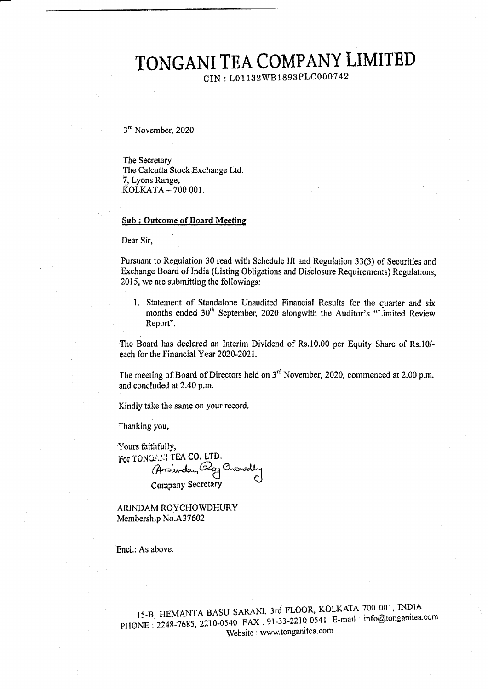# TONGANI TEA COMPANY LIMITED

CIN: L01132WB1893PLC000742

3rd November, 2020

The Secretary The Calcutta Stock Exchange Ltd. 7, Lyons Range, KOLKATA-700 001.

#### **Sub: Outcome of Board Meeting**

Dear Sir,

Pursuant to Regulation 30 read with Schedule III and Regulation 33(3) of Securities and Exchange Board of India (Listing Obligations and Disclosure Requirements) Regulations, 2015, we are submitting the followings:

1. Statement of Standalone Unaudited Financial Results for the quarter and six months ended 30<sup>th</sup> September, 2020 alongwith the Auditor's "Limited Review Report".

The Board has declared an Interim Dividend of Rs.10.00 per Equity Share of Rs.10/each for the Financial Year 2020-2021.

The meeting of Board of Directors held on 3<sup>rd</sup> November, 2020, commenced at 2.00 p.m. and concluded at 2.40 p.m.

Kindly take the same on your record.

Thanking you,

Yours faithfully, For TONGANI TEA CO. LTD. Arin in Co. Chowally Company Secretary

ARINDAM ROYCHOWDHURY Membership No.A37602

Encl.: As above.

15-B, HEMANTA BASU SARANI, 3rd FLOOR, KOLKATA 700 001, INDIA PHONE: 2248-7685, 2210-0540 FAX: 91-33-2210-0541 E-mail: info@tonganitea.com Website: www.tonganitea.com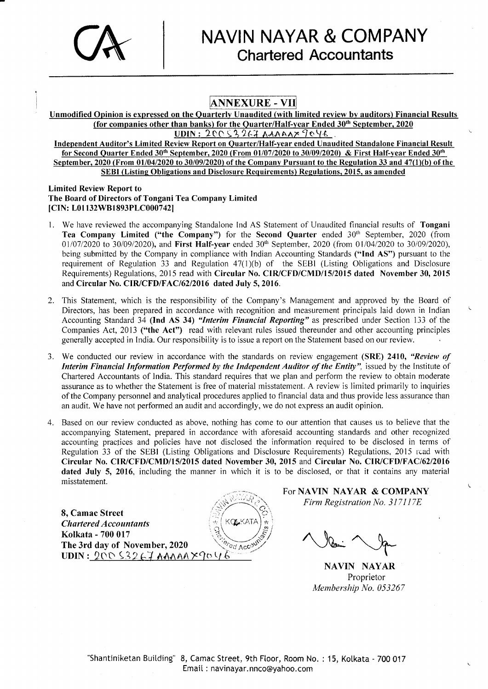

## ANNEXURE . VII

Unmodified Opinion is expressed on the Ouarterly Unaudited (with limited review by auditors) Financial Results (for companies other than banks) for the Quarter/Half-year Ended 30<sup>th</sup> September, 2020<br>UDIN:  $20053267$  AAAAA $7046$ .

Independent Auditor's Limited Review Report on Quarter/Half-year ended Unaudited Standalone Financial Result for Second Quarter Ended 30<sup>th</sup> September, 2020 (From 01/07/2020 to 30/09/2020) & First Half-year Ended 30<sup>th</sup> September, 2020 (From  $01/04/2020$  to 30/09/2020) of the Company Pursuant to the Regulation 33 and 47(1)(b) of the SEBI (Listing Obligations and Disclosure Requirements) Regulations, 2015, as amended

#### Limited Review Report to The Board of Directors of Tongani Tea Company Limited [CIN: L01132WB1893PLC000742]

- 1. We have reviewed the accompanying Standalone Ind AS Statement of Unaudited financial results of Tongani Tea Company Limited ("the Company") for the Second Quarter ended 30th September, 2020 (from 01/07/2020 to 30/09/2020), and First Half-year ended 30<sup>th</sup> September, 2020 (from 01/04/2020 to 30/09/2020), being submitted by the Company in compliance with Indian Accounting Standards ("Ind AS") pursuant to the requirement of Regulation 33 and Regulation 47(1)(b) of the SEBI (Listing Obligations and Disclosure Requirements) Regulations, 2015 read with Circular No. CIR/CFD/CMD/15/2015 dated November 30, 2015 and Circular No. CIR/CFD/FAC/62/2016 dated July 5, 2016.
- 2. This Staternent, which is the responsibility of the Company's Management and approved by the Board of Directors, has been prepared in accordance with recognition and measurement principals laid down in Indian Accounting Standard 34 (Ind AS 34) "Interim Financial Reporting" as prescribed under Section 133 of the Companies Act, 2013 ("the Act") read with relevant rules issued thereunder and other accounting principles generally accepted in India. Our responsibility is to issue a report on the Statement based on our review.
- 3. We conducted our review in accordance with the standards on review engagement (SRE) 2410, "Review of Interim Financial Information Performed by the Independent Auditor of the Entity", issued by the Institute of Chartered Accountants of lndia. This standard requires that we plan and perform the review to obtain modemte assurance as to whether the Statement is free of material misstatement. A review is limited primarily to inquiries ofthe Cornpany personnel and analytical procedures applied to financial data and thus provide less assurance than an audit. We have not performed an audit and accordingly, we do not express an audit opinion.
- 4. Based on our review conducted as above, nothing has come to our attention that causes us to believe that the accompanying Statement, prepared in accordance with aforesaid accounting standards and other recognized accounting practices and policies have not disclosed the information required to be disclosed in terms of Regulation 33 of the SEBI (Listing Obligations and Disclosure Requirements) Regulations, 2015 rcad with Circular No. CIR/CFD/CMD/15/2015 dated November 30, 2015 and Circular No. CIR/CFD/FAC/62/2016 dated July 5, 2016, including the manner in which it is to be disclosed, or that it contains any material misstatement.

,..

8, Camac Street Chartered Accountants Kolkata - 700 017 The 3rd day of November,2020  $UDIN: 20053267$ AAAAA $X90V$  For NAVIN NAYAR & COMPANY Firm Registration No. 317117E

 $\mathbb{Z}_{q}$  Account  $\mathbb{Z}_{q}$ 

NAVIN NAYAR Proprietor Membership No. 053267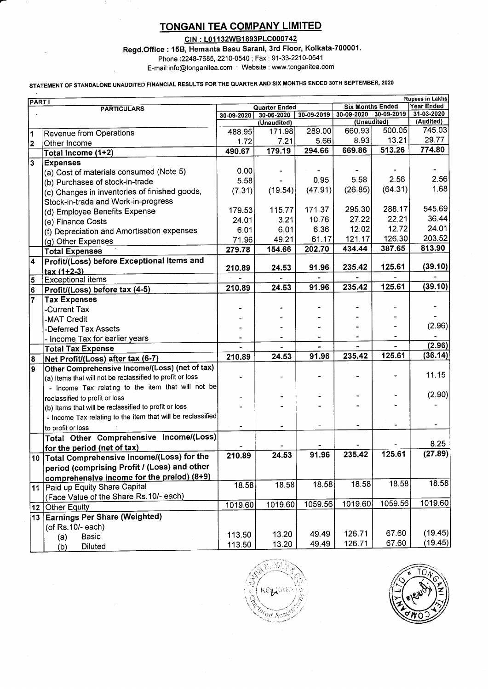# TONGANI TEA COMPANY LIMITED

CIN : L01132WB1893PLC000742

Regd.Office : 158, Hemanta Basu Sarani, 3rd Floor, Kolkata-700001.

Phone :2248-7685, 2210-0540 ; Fax : 91-33-2210-0541

. E-mail:info@tonganitea.com : Website : www'tonganitea.com

## STATEMENT OF STANDALONE UNAUDITED FINANCIAL RESULTS FOR THE QUARTER AND SIX MONTHS ENDED 30TH SEPTEMBER, 2020

| <b>Rupees in Lakhs</b><br><b>PARTI</b> |                                                             |         |                                        |         |                                        |                         |                         |  |
|----------------------------------------|-------------------------------------------------------------|---------|----------------------------------------|---------|----------------------------------------|-------------------------|-------------------------|--|
|                                        | <b>PARTICULARS</b>                                          |         | <b>Quarter Ended</b>                   |         |                                        | <b>Six Months Ended</b> |                         |  |
|                                        |                                                             |         | 30-09-2019<br>30-06-2020<br>30-09-2020 |         | $30-09-2020$ 30-09-2019<br>(Unaudited) |                         | 31-03-2020<br>(Audited) |  |
|                                        |                                                             |         | (Unaudited)<br>171.98                  | 289.00  | 660.93                                 | 500.05                  | 745.03                  |  |
| 1                                      | <b>Revenue from Operations</b>                              | 488.95  |                                        | 5.66    | 8.93                                   | 13.21                   | 29.77                   |  |
| 2                                      | Other Income                                                | 1.72    | 7.21                                   | 294.66  | 669.86                                 | 513.26                  | 774.80                  |  |
|                                        | Total Income (1+2)                                          | 490.67  | 179.19                                 |         |                                        |                         |                         |  |
| $\overline{\mathbf{3}}$                | <b>Expenses</b>                                             |         |                                        |         |                                        |                         |                         |  |
|                                        | (a) Cost of materials consumed (Note 5)                     | 0.00    |                                        |         |                                        |                         | 2.56                    |  |
|                                        | (b) Purchases of stock-in-trade                             | 5.58    |                                        | 0.95    | 5.58                                   | 2.56                    |                         |  |
|                                        | (c) Changes in inventories of finished goods,               | (7.31)  | (19.54)                                | (47.91) | (26.85)                                | (64.31)                 | 1.68                    |  |
|                                        | Stock-in-trade and Work-in-progress                         |         |                                        |         |                                        |                         |                         |  |
|                                        | (d) Employee Benefits Expense                               | 179.53  | 115.77                                 | 171.37  | 295.30                                 | 288.17                  | 545.69                  |  |
|                                        | (e) Finance Costs                                           | 24.01   | 3.21                                   | 10.76   | 27.22                                  | 22.21                   | 36.44                   |  |
|                                        | (f) Depreciation and Amortisation expenses                  | 6.01    | 6.01                                   | 6.36    | 12.02                                  | 12.72                   | 24.01                   |  |
|                                        | (g) Other Expenses                                          | 71.96   | 49.21                                  | 61.17   | 121.17                                 | 126.30                  | 203.52                  |  |
|                                        | <b>Total Expenses</b>                                       | 279.78  | 154.66                                 | 202.70  | 434.44                                 | 387.65                  | 813.90                  |  |
| 4                                      | Profit/(Loss) before Exceptional Items and                  |         |                                        |         |                                        |                         |                         |  |
|                                        | $tax(1+2-3)$                                                | 210.89  | 24.53                                  | 91.96   | 235.42                                 | 125.61                  | (39.10)                 |  |
| 5                                      | <b>Exceptional items</b>                                    |         |                                        |         |                                        |                         |                         |  |
| 6                                      | Profit/(Loss) before tax (4-5)                              | 210.89  | 24.53                                  | 91.96   | 235.42                                 | 125.61                  | (39.10)                 |  |
| $\overline{7}$                         | <b>Tax Expenses</b>                                         |         |                                        |         |                                        |                         |                         |  |
|                                        | -Current Tax                                                |         |                                        |         |                                        |                         |                         |  |
|                                        | -MAT Credit                                                 |         |                                        |         |                                        |                         |                         |  |
|                                        | -Deferred Tax Assets                                        |         |                                        |         |                                        |                         | (2.96)                  |  |
|                                        | - Income Tax for earlier years                              |         |                                        |         |                                        |                         |                         |  |
|                                        | <b>Total Tax Expense</b>                                    |         |                                        |         |                                        |                         | (2.96)                  |  |
| 8                                      | Net Profit/(Loss) after tax (6-7)                           | 210.89  | 24.53                                  | 91.96   | 235.42                                 | 125.61                  | (36.14)                 |  |
| 9                                      | Other Comprehensive Income/(Loss) (net of tax)              |         |                                        |         |                                        |                         |                         |  |
|                                        | (a) Items that will not be reclassified to profit or loss   |         |                                        |         |                                        |                         | 11.15                   |  |
|                                        | - Income Tax relating to the item that will not be          |         |                                        |         |                                        |                         |                         |  |
|                                        | reclassified to profit or loss                              |         |                                        |         |                                        |                         | (2.90)                  |  |
|                                        | (b) Items that will be reclassified to profit or loss       |         |                                        |         |                                        |                         |                         |  |
|                                        | - Income Tax relating to the item that will be reclassified |         |                                        |         |                                        |                         |                         |  |
|                                        | to profit or loss                                           |         |                                        |         |                                        |                         |                         |  |
|                                        | Total Other Comprehensive Income/(Loss)                     |         |                                        |         |                                        |                         |                         |  |
|                                        | for the period (net of tax)                                 |         |                                        |         |                                        |                         | 8.25                    |  |
|                                        | 10 Total Comprehensive Income/(Loss) for the                | 210.89  | 24.53                                  | 91.96   | 235.42                                 | 125.61                  | (27.89)                 |  |
|                                        | period (comprising Profit / (Loss) and other                |         |                                        |         |                                        |                         |                         |  |
|                                        | comprehensive income for the preiod) (8+9)                  |         |                                        |         |                                        |                         |                         |  |
|                                        | Paid up Equity Share Capital                                | 18.58   | 18.58                                  | 18.58   | 18.58                                  | 18.58                   | 18.58                   |  |
| 11                                     | (Face Value of the Share Rs.10/- each)                      |         |                                        |         |                                        |                         |                         |  |
|                                        |                                                             | 1019.60 | 1019.60                                | 1059.56 | 1019.60                                | 1059.56                 | 1019.60                 |  |
| 12                                     | <b>Other Equity</b><br>13 Earnings Per Share (Weighted)     |         |                                        |         |                                        |                         |                         |  |
|                                        |                                                             |         |                                        |         |                                        |                         |                         |  |
|                                        | (of Rs. 10/- each)                                          | 113.50  | 13.20                                  | 49.49   | 126.71                                 | 67.60                   | (19.45)                 |  |
|                                        | <b>Basic</b><br>(a)                                         | 113.50  | 13.20                                  | 49.49   | 126.71                                 | 67.60                   | (19.45)                 |  |
|                                        | <b>Diluted</b><br>(b)                                       |         |                                        |         |                                        |                         |                         |  |



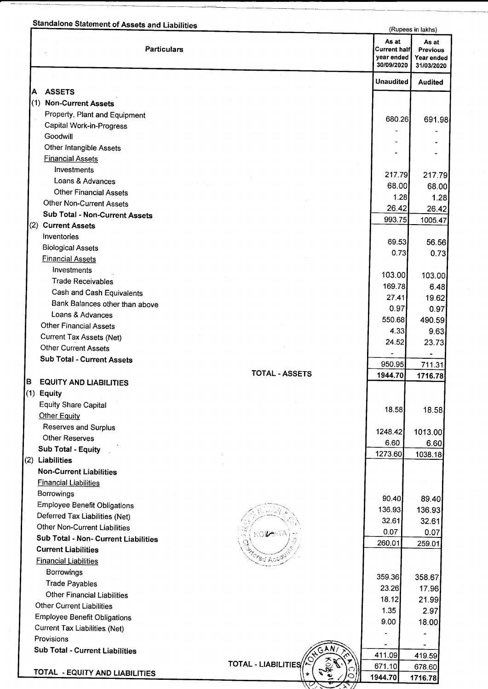|     | <b>Standalone Statement of Assets and Liabilities</b>     |                            | (Rupees in lakhs)                                        |                                               |
|-----|-----------------------------------------------------------|----------------------------|----------------------------------------------------------|-----------------------------------------------|
|     | <b>Particulars</b>                                        |                            | As at<br><b>Current half</b><br>year ended<br>30/09/2020 | As at<br>Previous<br>Year ended<br>31/03/2020 |
|     |                                                           |                            | <b>Unaudited</b>                                         | <b>Audited</b>                                |
| Α   | <b>ASSETS</b>                                             |                            |                                                          |                                               |
| (1) | <b>Non-Current Assets</b>                                 |                            |                                                          |                                               |
|     | Property, Plant and Equipment<br>Capital Work-in-Progress |                            | 680.26                                                   | 691.98                                        |
|     | Goodwill                                                  |                            |                                                          |                                               |
|     | Other Intangible Assets                                   |                            |                                                          |                                               |
|     | <b>Financial Assets</b>                                   |                            |                                                          |                                               |
|     | Investments                                               |                            |                                                          |                                               |
|     | Loans & Advances                                          |                            | 217.79                                                   | 217.79                                        |
|     | <b>Other Financial Assets</b>                             |                            | 68.00                                                    | 68.00                                         |
|     | <b>Other Non-Current Assets</b>                           |                            | 1.28<br>26.42                                            | 1.28                                          |
|     | Sub Total - Non-Current Assets                            |                            | 993.75                                                   | 26.42<br>1005.47                              |
|     | (2) Current Assets                                        |                            |                                                          |                                               |
|     | Inventories                                               |                            | 69.53                                                    | 56.56                                         |
|     | <b>Biological Assets</b>                                  |                            | 0.73                                                     | 0.73                                          |
|     | <b>Financial Assets</b>                                   |                            |                                                          |                                               |
|     | Investments                                               |                            | 103.00                                                   | 103.00                                        |
|     | <b>Trade Receivables</b>                                  |                            | 169.78                                                   | 6.48                                          |
|     | Cash and Cash Equivalents                                 |                            | 27.41                                                    | 19.62                                         |
|     | Bank Balances other than above                            |                            | 0.97                                                     | 0.97                                          |
|     | Loans & Advances<br>Other Financial Assets                |                            | 550.68                                                   | 490.59                                        |
|     |                                                           |                            | 4.33                                                     | 9.63                                          |
|     | Current Tax Assets (Net)<br><b>Other Current Assets</b>   |                            | 24.52                                                    | 23.73                                         |
|     | <b>Sub Total - Current Assets</b>                         |                            |                                                          |                                               |
|     |                                                           | <b>TOTAL - ASSETS</b>      | 950.95<br>1944.70                                        | 711.31                                        |
| в   | <b>EQUITY AND LIABILITIES</b>                             |                            |                                                          | 1716.78                                       |
|     | (1) Equity                                                |                            |                                                          |                                               |
|     | <b>Equity Share Capital</b>                               |                            | 18.58                                                    | 18.58                                         |
|     | <b>Other Equity</b>                                       |                            |                                                          |                                               |
|     | Reserves and Surplus                                      |                            | 1248.42                                                  | 1013.00                                       |
|     | <b>Other Reserves</b>                                     |                            | 6.60                                                     | 6.60                                          |
|     | <b>Sub Total - Equity</b>                                 |                            | 1273.60                                                  | 1038.18                                       |
|     | (2) Liabilities                                           |                            |                                                          |                                               |
|     | <b>Non-Current Liabilities</b>                            |                            |                                                          |                                               |
|     | <b>Financial Liabilities</b><br>Borrowings                |                            |                                                          |                                               |
|     | <b>Employee Benefit Obligations</b>                       |                            | 90.40                                                    | 89.40                                         |
|     | Deferred Tax Liabilities (Net)                            |                            | 136.93                                                   | 136.93                                        |
|     | <b>Other Non-Current Liabilities</b>                      |                            | 32.61                                                    | 32.61                                         |
|     | Sub Total - Non- Current Liabilities                      | KO <b>la</b> ata           | 0.07                                                     | 0.07                                          |
|     | <b>Current Liabilities</b>                                |                            | 260.01                                                   | 259.01                                        |
|     | <b>Financial Liabilities</b>                              |                            |                                                          |                                               |
|     | <b>Borrowings</b>                                         |                            |                                                          |                                               |
|     | <b>Trade Payables</b>                                     |                            | 359.36<br>23.26                                          | 358.67<br>17.96                               |
|     | <b>Other Financial Liabilities</b>                        |                            | 18.12                                                    | 21.99                                         |
|     | <b>Other Current Liabilities</b>                          |                            | 1.35                                                     | 2.97                                          |
|     | <b>Employee Benefit Obligations</b>                       |                            | 9.00                                                     | 18.00                                         |
|     | <b>Current Tax Liabilities (Net)</b>                      |                            |                                                          |                                               |
|     | Provisions                                                |                            |                                                          |                                               |
|     | <b>Sub Total - Current Liabilities</b>                    |                            | 411.09                                                   | 419.59                                        |
|     |                                                           | <b>TOTAL - LIABILITIES</b> | 671.10                                                   | 678.60                                        |
|     | TOTAL - EQUITY AND LIABILITIES                            |                            | 1944.70                                                  | 1716.78                                       |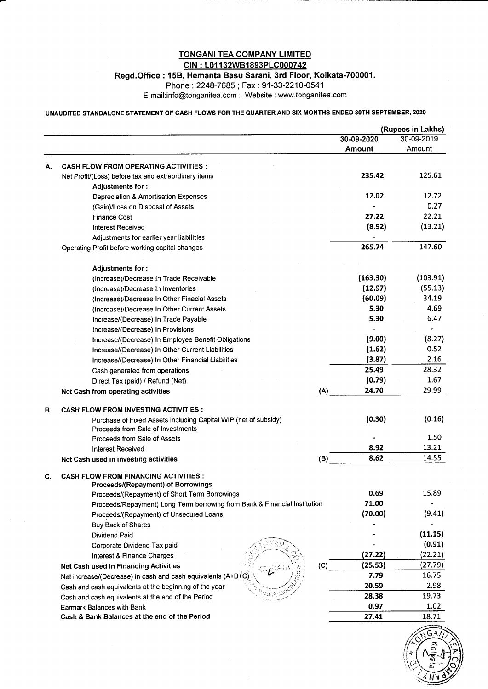## TONGANI TEA COMPANY LIMITED CIN : L01132WB1893PLC000742

Regd.Office : 158, Hemanta Basu Sarani, 3rd FIoor, Kolkata-700001.

Phone :2248-7685; Fax : 91-33-2210-0541

E-mail:info@tonganitea.com : Website : www.tonganitea.com

### UNAUDITED STANDALONE STATEMENT OF CASH FLOWS FOR THE QUARTER AND SIX MONTHS ENDED 3OTH SEPTEMBER, 2O2O

|    |                                                                                                      |            | (Rupees in Lakhs) |  |  |
|----|------------------------------------------------------------------------------------------------------|------------|-------------------|--|--|
|    |                                                                                                      | 30-09-2020 | 30-09-2019        |  |  |
|    |                                                                                                      | Amount     | Amount            |  |  |
| А. | <b>CASH FLOW FROM OPERATING ACTIVITIES:</b>                                                          |            |                   |  |  |
|    | Net Profit/(Loss) before tax and extraordinary items                                                 | 235.42     | 125.61            |  |  |
|    | Adjustments for :                                                                                    |            |                   |  |  |
|    | Depreciation & Amortisation Expenses                                                                 | 12.02      | 12.72             |  |  |
|    | (Gain)/Loss on Disposal of Assets                                                                    |            | 0.27              |  |  |
|    | <b>Finance Cost</b>                                                                                  | 27.22      | 22.21             |  |  |
|    | Interest Received                                                                                    | (8.92)     | (13.21)           |  |  |
|    | Adjustments for earlier year liabilities                                                             |            |                   |  |  |
|    | Operating Profit before working capital changes                                                      | 265.74     | 147.60            |  |  |
|    | <b>Adjustments for:</b>                                                                              |            |                   |  |  |
|    | (Increase)/Decrease In Trade Receivable                                                              | (163.30)   | (103.91)          |  |  |
|    | (Increase)/Decrease In Inventories                                                                   | (12.97)    | (55.13)           |  |  |
|    | (Increase)/Decrease In Other Finacial Assets                                                         | (60.09)    | 34.19             |  |  |
|    | (Increase)/Decrease In Other Current Assets                                                          | 5.30       | 4.69              |  |  |
|    | Increase/(Decrease) In Trade Payable                                                                 | 5.30       | 6.47              |  |  |
|    | Increase/(Decrease) In Provisions                                                                    |            |                   |  |  |
|    | Increase/(Decrease) In Employee Benefit Obligations                                                  | (9.00)     | (8.27)            |  |  |
|    | Increase/(Decrease) In Other Current Liabilities                                                     | (1.62)     | 0.52              |  |  |
|    | Increase/(Decrease) In Other Financial Liabilities                                                   | (3.87)     | 2.16              |  |  |
|    | Cash generated from operations                                                                       | 25.49      | 28.32             |  |  |
|    | Direct Tax (paid) / Refund (Net)                                                                     | (0.79)     | 1.67              |  |  |
|    | (A)<br>Net Cash from operating activities                                                            | 24.70      | 29.99             |  |  |
| В. | <b>CASH FLOW FROM INVESTING ACTIVITIES :</b>                                                         |            |                   |  |  |
|    | Purchase of Fixed Assets including Capital WIP (net of subsidy)<br>Proceeds from Sale of Investments | (0.30)     | (0.16)            |  |  |
|    | Proceeds from Sale of Assets                                                                         |            | 1.50              |  |  |
|    | Interest Received                                                                                    | 8.92       | 13.21             |  |  |
|    | (B)<br>Net Cash used in investing activities                                                         | 8.62       | 14.55             |  |  |
| C. | <b>CASH FLOW FROM FINANCING ACTIVITIES:</b><br>Proceeds/(Repayment) of Borrowings                    |            |                   |  |  |
|    | Proceeds/(Repayment) of Short Term Borrowings                                                        | 0.69       | 15.89             |  |  |
|    | Proceeds/Repayment) Long Term borrowing from Bank & Financial Institution                            | 71.00      |                   |  |  |
|    | Proceeds/(Repayment) of Unsecured Loans                                                              | (70.00)    | (9.41)            |  |  |
|    | Buy Back of Shares                                                                                   |            |                   |  |  |
|    | Dividend Paid                                                                                        |            | (11.15)           |  |  |
|    | Corporate Dividend Tax paid                                                                          |            | (0.91)            |  |  |
|    | Interest & Finance Charges                                                                           | (27.22)    | (22.21)           |  |  |
|    | (C)<br>Net Cash used in Financing Activities                                                         | (25.53)    | (27.79)           |  |  |
|    | Net increase/(Decrease) in cash and cash equivalents (A+B+C)                                         | 7.79       | 16.75             |  |  |
|    | Cash and cash equivalents at the beginning of the year                                               | 20.59      | 2.98              |  |  |
|    | Cash and cash equivalents at the end of the Period                                                   | 28.38      | 19.73             |  |  |
|    | Earmark Balances with Bank                                                                           | 0.97       | 1.02              |  |  |
|    | Cash & Bank Balances at the end of the Period                                                        | 27.41      | 18.71             |  |  |